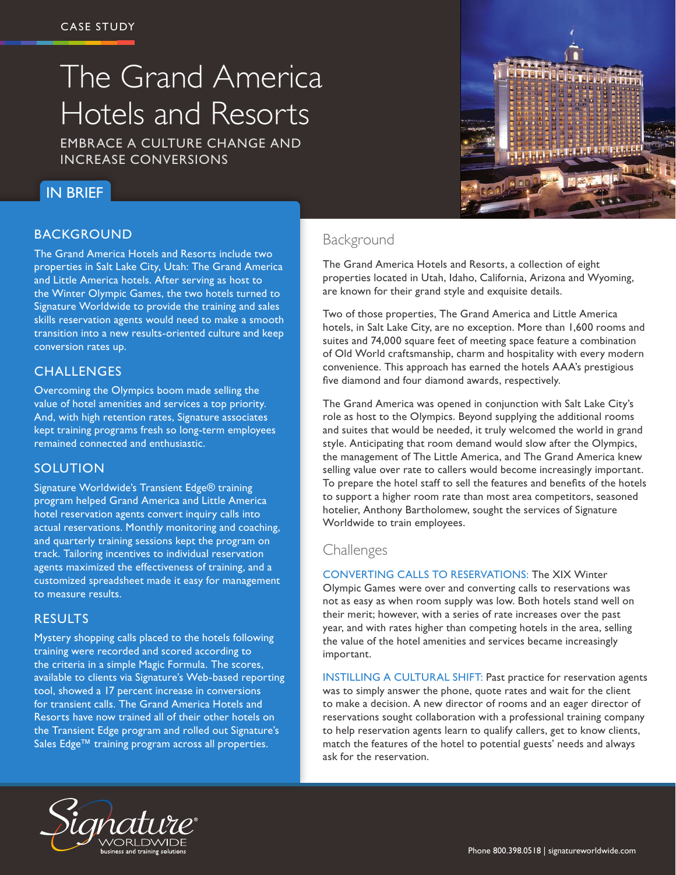# The Grand America Hotels and Resorts

EMBRACE A CULTURE CHANGE AND INCREASE CONVERSIONS

## IN BRIEF

### BACKGROUND

The Grand America Hotels and Resorts include two properties in Salt Lake City, Utah: The Grand America and Little America hotels. After serving as host to the Winter Olympic Games, the two hotels turned to Signature Worldwide to provide the training and sales skills reservation agents would need to make a smooth transition into a new results-oriented culture and keep conversion rates up.

#### **CHALLENGES**

Overcoming the Olympics boom made selling the value of hotel amenities and services a top priority. And, with high retention rates, Signature associates kept training programs fresh so long-term employees remained connected and enthusiastic.

#### **SOLUTION**

Signature Worldwide's Transient Edge® training program helped Grand America and Little America hotel reservation agents convert inquiry calls into actual reservations. Monthly monitoring and coaching, and quarterly training sessions kept the program on track. Tailoring incentives to individual reservation agents maximized the effectiveness of training, and a customized spreadsheet made it easy for management to measure results.

#### RESULTS

Mystery shopping calls placed to the hotels following training were recorded and scored according to the criteria in a simple Magic Formula. The scores, available to clients via Signature's Web-based reporting tool, showed a 17 percent increase in conversions for transient calls. The Grand America Hotels and Resorts have now trained all of their other hotels on the Transient Edge program and rolled out Signature's Sales Edge™ training program across all properties.



## Background

The Grand America Hotels and Resorts, a collection of eight properties located in Utah, Idaho, California, Arizona and Wyoming, are known for their grand style and exquisite details.

Two of those properties, The Grand America and Little America hotels, in Salt Lake City, are no exception. More than 1,600 rooms and suites and 74,000 square feet of meeting space feature a combination of Old World craftsmanship, charm and hospitality with every modern convenience. This approach has earned the hotels AAA's prestigious five diamond and four diamond awards, respectively.

The Grand America was opened in conjunction with Salt Lake City's role as host to the Olympics. Beyond supplying the additional rooms and suites that would be needed, it truly welcomed the world in grand style. Anticipating that room demand would slow after the Olympics, the management of The Little America, and The Grand America knew selling value over rate to callers would become increasingly important. To prepare the hotel staff to sell the features and benefits of the hotels to support a higher room rate than most area competitors, seasoned hotelier, Anthony Bartholomew, sought the services of Signature Worldwide to train employees.

#### **Challenges**

CONVERTING CALLS TO RESERVATIONS: The XIX Winter Olympic Games were over and converting calls to reservations was not as easy as when room supply was low. Both hotels stand well on their merit; however, with a series of rate increases over the past year, and with rates higher than competing hotels in the area, selling the value of the hotel amenities and services became increasingly important.

INSTILLING A CULTURAL SHIFT: Past practice for reservation agents was to simply answer the phone, quote rates and wait for the client to make a decision. A new director of rooms and an eager director of reservations sought collaboration with a professional training company to help reservation agents learn to qualify callers, get to know clients, match the features of the hotel to potential guests' needs and always ask for the reservation.